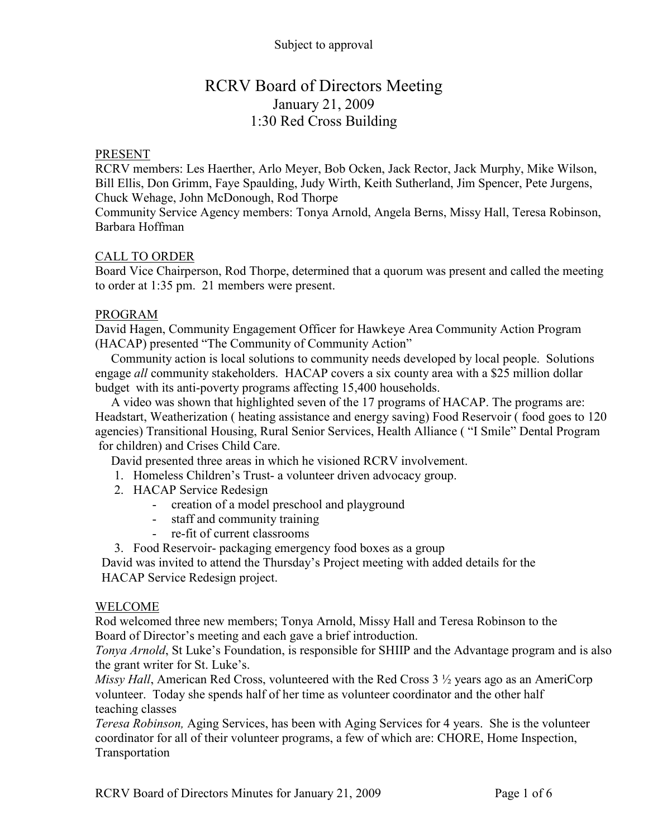### Subject to approval

# RCRV Board of Directors Meeting January 21, 2009 1:30 Red Cross Building

#### PRESENT

RCRV members: Les Haerther, Arlo Meyer, Bob Ocken, Jack Rector, Jack Murphy, Mike Wilson, Bill Ellis, Don Grimm, Faye Spaulding, Judy Wirth, Keith Sutherland, Jim Spencer, Pete Jurgens, Chuck Wehage, John McDonough, Rod Thorpe

Community Service Agency members: Tonya Arnold, Angela Berns, Missy Hall, Teresa Robinson, Barbara Hoffman

#### CALL TO ORDER

Board Vice Chairperson, Rod Thorpe, determined that a quorum was present and called the meeting to order at 1:35 pm. 21 members were present.

#### PROGRAM

David Hagen, Community Engagement Officer for Hawkeye Area Community Action Program (HACAP) presented "The Community of Community Action"

Community action is local solutions to community needs developed by local people. Solutions engage *all* community stakeholders. HACAP covers a six county area with a \$25 million dollar budget with its anti-poverty programs affecting 15,400 households.

A video was shown that highlighted seven of the 17 programs of HACAP. The programs are: Headstart, Weatherization ( heating assistance and energy saving) Food Reservoir ( food goes to 120 agencies) Transitional Housing, Rural Senior Services, Health Alliance ( "I Smile" Dental Program for children) and Crises Child Care.

David presented three areas in which he visioned RCRV involvement.

- 1. Homeless Children's Trust- a volunteer driven advocacy group.
- 2. HACAP Service Redesign
	- creation of a model preschool and playground
	- staff and community training
	- re-fit of current classrooms
- 3. Food Reservoir- packaging emergency food boxes as a group

David was invited to attend the Thursday's Project meeting with added details for the HACAP Service Redesign project.

#### WELCOME

Rod welcomed three new members; Tonya Arnold, Missy Hall and Teresa Robinson to the Board of Director's meeting and each gave a brief introduction.

*Tonya Arnold*, St Luke's Foundation, is responsible for SHIIP and the Advantage program and is also the grant writer for St. Luke's.

*Missy Hall*, American Red Cross, volunteered with the Red Cross 3 ½ years ago as an AmeriCorp volunteer. Today she spends half of her time as volunteer coordinator and the other half teaching classes

*Teresa Robinson,* Aging Services, has been with Aging Services for 4 years. She is the volunteer coordinator for all of their volunteer programs, a few of which are: CHORE, Home Inspection, Transportation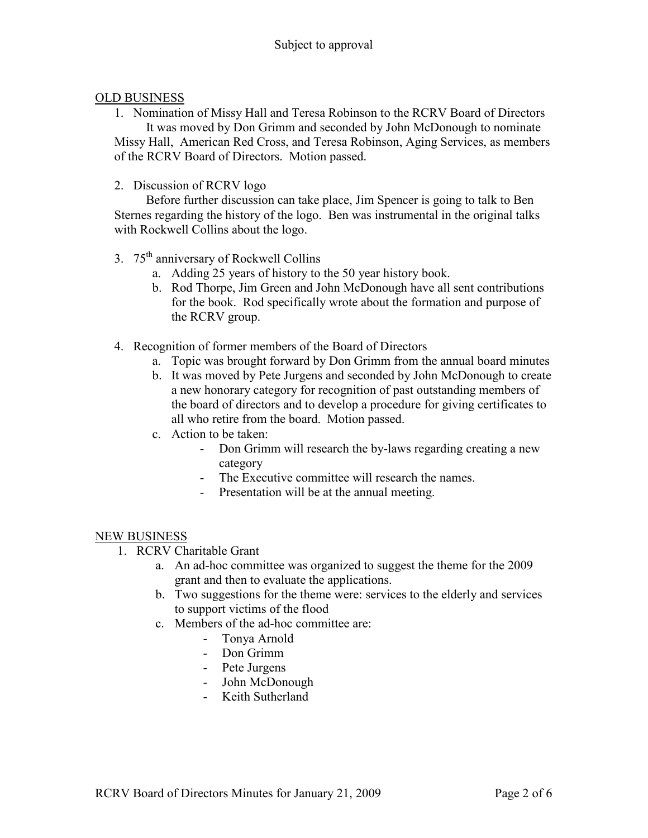### OLD BUSINESS

- 1. Nomination of Missy Hall and Teresa Robinson to the RCRV Board of Directors It was moved by Don Grimm and seconded by John McDonough to nominate Missy Hall, American Red Cross, and Teresa Robinson, Aging Services, as members of the RCRV Board of Directors. Motion passed.
- 2. Discussion of RCRV logo

Before further discussion can take place, Jim Spencer is going to talk to Ben Sternes regarding the history of the logo. Ben was instrumental in the original talks with Rockwell Collins about the logo.

- 3. 75th anniversary of Rockwell Collins
	- a. Adding 25 years of history to the 50 year history book.
	- b. Rod Thorpe, Jim Green and John McDonough have all sent contributions for the book. Rod specifically wrote about the formation and purpose of the RCRV group.
- 4. Recognition of former members of the Board of Directors
	- a. Topic was brought forward by Don Grimm from the annual board minutes
	- b. It was moved by Pete Jurgens and seconded by John McDonough to create a new honorary category for recognition of past outstanding members of the board of directors and to develop a procedure for giving certificates to all who retire from the board. Motion passed.
	- c. Action to be taken:
		- Don Grimm will research the by-laws regarding creating a new category
		- The Executive committee will research the names.
		- Presentation will be at the annual meeting.

#### NEW BUSINESS

- 1. RCRV Charitable Grant
	- a. An ad-hoc committee was organized to suggest the theme for the 2009 grant and then to evaluate the applications.
	- b. Two suggestions for the theme were: services to the elderly and services to support victims of the flood
	- c. Members of the ad-hoc committee are:
		- Tonya Arnold
		- Don Grimm
		- Pete Jurgens
		- John McDonough
		- Keith Sutherland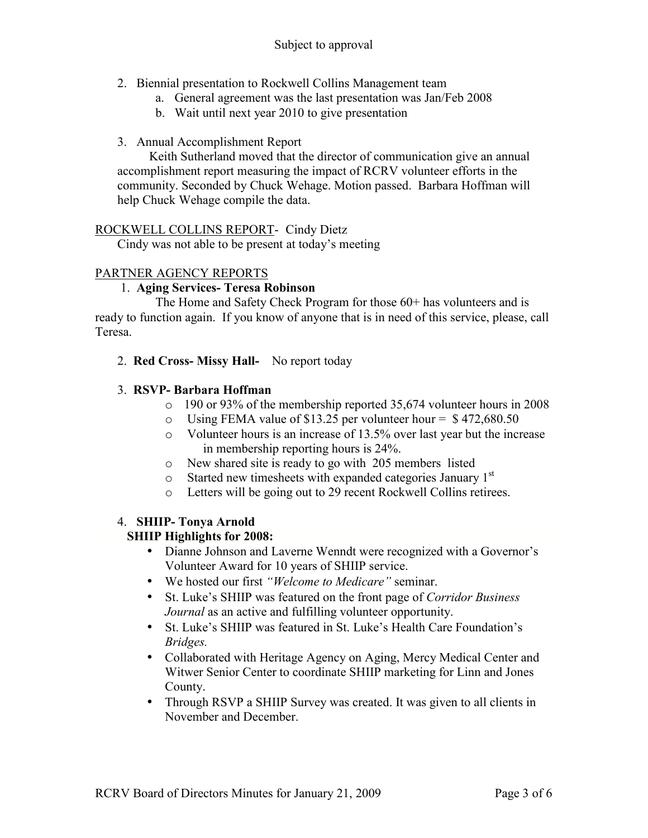- 2. Biennial presentation to Rockwell Collins Management team
	- a. General agreement was the last presentation was Jan/Feb 2008
	- b. Wait until next year 2010 to give presentation
- 3. Annual Accomplishment Report

Keith Sutherland moved that the director of communication give an annual accomplishment report measuring the impact of RCRV volunteer efforts in the community. Seconded by Chuck Wehage. Motion passed. Barbara Hoffman will help Chuck Wehage compile the data.

### ROCKWELL COLLINS REPORT- Cindy Dietz

Cindy was not able to be present at today's meeting

### PARTNER AGENCY REPORTS

### 1. **Aging Services- Teresa Robinson**

The Home and Safety Check Program for those 60+ has volunteers and is ready to function again. If you know of anyone that is in need of this service, please, call Teresa.

2. **Red Cross- Missy Hall-** No report today

# 3. **RSVP- Barbara Hoffman**

- o 190 or 93% of the membership reported 35,674 volunteer hours in 2008
- o Using FEMA value of \$13.25 per volunteer hour =  $$472,680.50$
- o Volunteer hours is an increase of 13.5% over last year but the increase in membership reporting hours is 24%.
- o New shared site is ready to go with 205 members listed
- $\circ$  Started new timesheets with expanded categories January 1<sup>st</sup>
- o Letters will be going out to 29 recent Rockwell Collins retirees.

# 4. **SHIIP- Tonya Arnold**

#### **SHIIP Highlights for 2008:**

- Dianne Johnson and Laverne Wenndt were recognized with a Governor's Volunteer Award for 10 years of SHIIP service.
- We hosted our first *"Welcome to Medicare"* seminar.
- St. Luke's SHIIP was featured on the front page of *Corridor Business Journal* as an active and fulfilling volunteer opportunity.
- St. Luke's SHIIP was featured in St. Luke's Health Care Foundation's *Bridges.*
- Collaborated with Heritage Agency on Aging, Mercy Medical Center and Witwer Senior Center to coordinate SHIIP marketing for Linn and Jones County.
- Through RSVP a SHIIP Survey was created. It was given to all clients in November and December.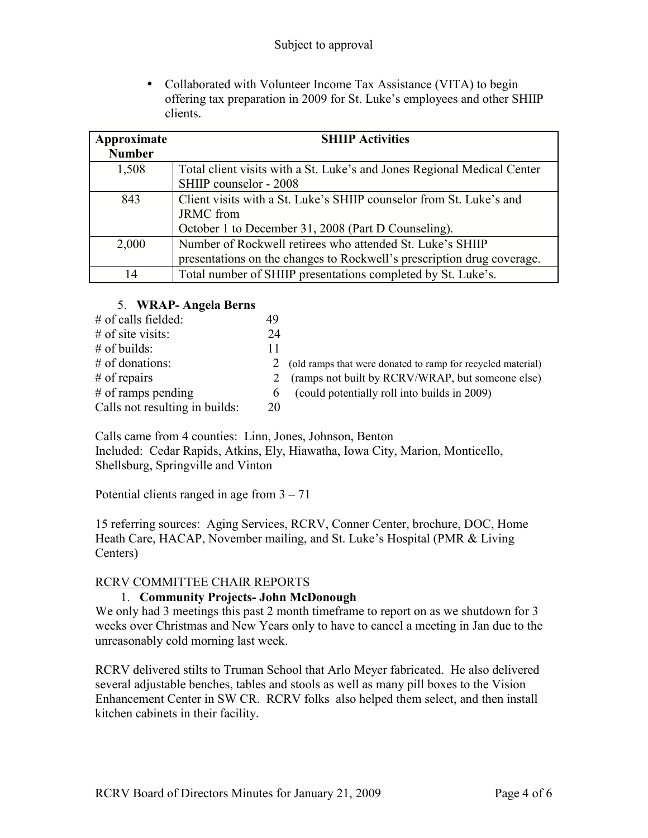• Collaborated with Volunteer Income Tax Assistance (VITA) to begin offering tax preparation in 2009 for St. Luke's employees and other SHIIP clients.

| Approximate   | <b>SHIIP Activities</b>                                                 |  |  |  |
|---------------|-------------------------------------------------------------------------|--|--|--|
| <b>Number</b> |                                                                         |  |  |  |
| 1,508         | Total client visits with a St. Luke's and Jones Regional Medical Center |  |  |  |
|               | SHIIP counselor - 2008                                                  |  |  |  |
| 843           | Client visits with a St. Luke's SHIIP counselor from St. Luke's and     |  |  |  |
|               | <b>JRMC</b> from                                                        |  |  |  |
|               | October 1 to December 31, 2008 (Part D Counseling).                     |  |  |  |
| 2,000         | Number of Rockwell retirees who attended St. Luke's SHIIP               |  |  |  |
|               | presentations on the changes to Rockwell's prescription drug coverage.  |  |  |  |
| 14            | Total number of SHIIP presentations completed by St. Luke's.            |  |  |  |

# 5. **WRAP- Angela Berns**

| $#$ of calls fielded:          | 49             |                                                             |
|--------------------------------|----------------|-------------------------------------------------------------|
| $#$ of site visits:            | 24             |                                                             |
| $#$ of builds:                 | 11             |                                                             |
| $#$ of donations:              | $\mathbb{Z}^2$ | (old ramps that were donated to ramp for recycled material) |
| $#$ of repairs                 |                | (ramps not built by RCRV/WRAP, but someone else)            |
| $#$ of ramps pending           | $\mathfrak{h}$ | (could potentially roll into builds in 2009)                |
| Calls not resulting in builds: | 20             |                                                             |
|                                |                |                                                             |

Calls came from 4 counties: Linn, Jones, Johnson, Benton Included: Cedar Rapids, Atkins, Ely, Hiawatha, Iowa City, Marion, Monticello, Shellsburg, Springville and Vinton

Potential clients ranged in age from  $3 - 71$ 

15 referring sources: Aging Services, RCRV, Conner Center, brochure, DOC, Home Heath Care, HACAP, November mailing, and St. Luke's Hospital (PMR & Living Centers)

# RCRV COMMITTEE CHAIR REPORTS

# 1. **Community Projects- John McDonough**

We only had 3 meetings this past 2 month timeframe to report on as we shutdown for 3 weeks over Christmas and New Years only to have to cancel a meeting in Jan due to the unreasonably cold morning last week.

RCRV delivered stilts to Truman School that Arlo Meyer fabricated. He also delivered several adjustable benches, tables and stools as well as many pill boxes to the Vision Enhancement Center in SW CR. RCRV folks also helped them select, and then install kitchen cabinets in their facility.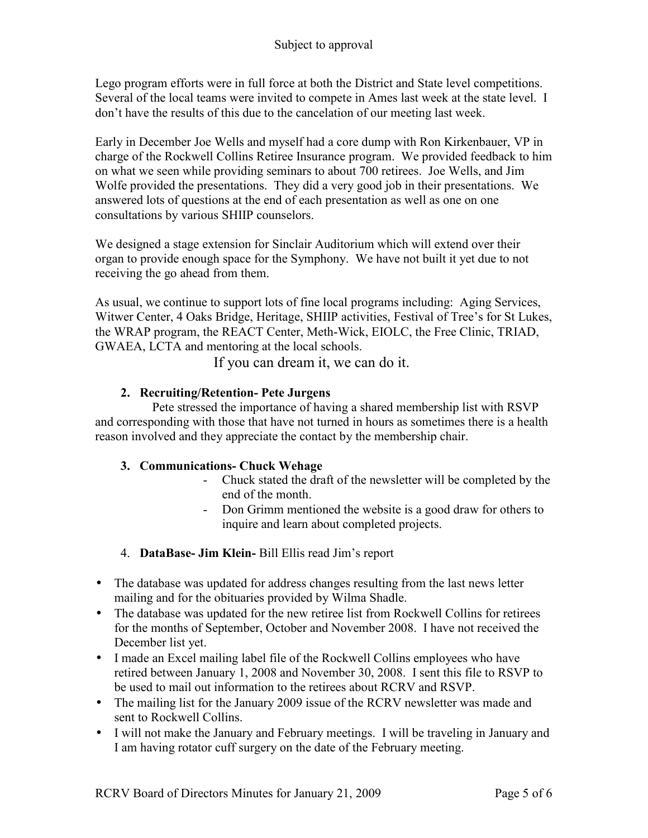Lego program efforts were in full force at both the District and State level competitions. Several of the local teams were invited to compete in Ames last week at the state level. I don't have the results of this due to the cancelation of our meeting last week.

Early in December Joe Wells and myself had a core dump with Ron Kirkenbauer, VP in charge of the Rockwell Collins Retiree Insurance program. We provided feedback to him on what we seen while providing seminars to about 700 retirees. Joe Wells, and Jim Wolfe provided the presentations. They did a very good job in their presentations. We answered lots of questions at the end of each presentation as well as one on one consultations by various SHIIP counselors.

We designed a stage extension for Sinclair Auditorium which will extend over their organ to provide enough space for the Symphony. We have not built it yet due to not receiving the go ahead from them.

As usual, we continue to support lots of fine local programs including: Aging Services, Witwer Center, 4 Oaks Bridge, Heritage, SHIIP activities, Festival of Tree's for St Lukes, the WRAP program, the REACT Center, Meth-Wick, EIOLC, the Free Clinic, TRIAD, GWAEA, LCTA and mentoring at the local schools.

If you can dream it, we can do it.

# **2. Recruiting/Retention- Pete Jurgens**

Pete stressed the importance of having a shared membership list with RSVP and corresponding with those that have not turned in hours as sometimes there is a health reason involved and they appreciate the contact by the membership chair.

# **3. Communications- Chuck Wehage**

- Chuck stated the draft of the newsletter will be completed by the end of the month.
- Don Grimm mentioned the website is a good draw for others to inquire and learn about completed projects.
- 4. **DataBase- Jim Klein-** Bill Ellis read Jim's report
- The database was updated for address changes resulting from the last news letter mailing and for the obituaries provided by Wilma Shadle.
- The database was updated for the new retiree list from Rockwell Collins for retirees for the months of September, October and November 2008. I have not received the December list yet.
- I made an Excel mailing label file of the Rockwell Collins employees who have retired between January 1, 2008 and November 30, 2008. I sent this file to RSVP to be used to mail out information to the retirees about RCRV and RSVP.
- The mailing list for the January 2009 issue of the RCRV newsletter was made and sent to Rockwell Collins.
- I will not make the January and February meetings. I will be traveling in January and I am having rotator cuff surgery on the date of the February meeting.